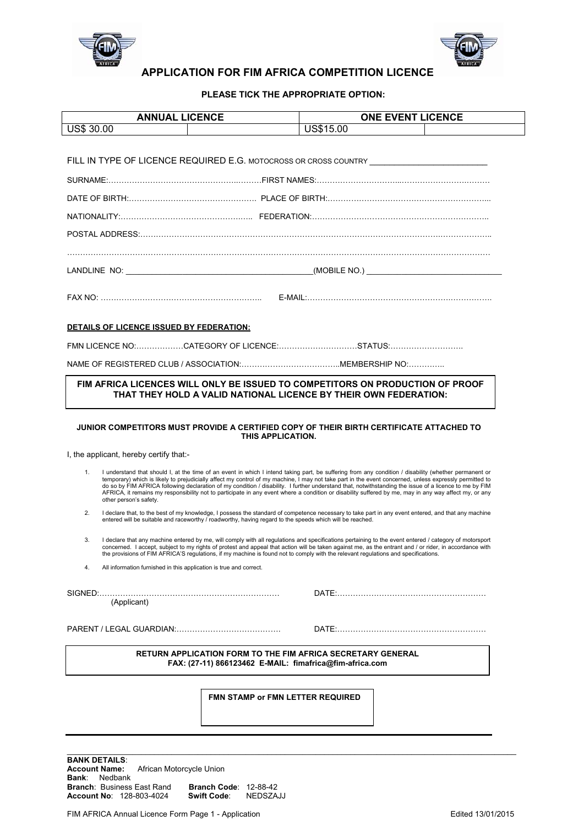



## **APPLICATION FOR FIM AFRICA COMPETITION LICENCE**

**PLEASE TICK THE APPROPRIATE OPTION:** 

| <b>ANNUAL LICENCE</b>                                                                                                                                                                                                                                                                                                                                                                                                                                                                                                                                                                                                                                              | <b>ONE EVENT LICENCE</b>                                                                                                                                                                                                                                        |  |  |  |  |
|--------------------------------------------------------------------------------------------------------------------------------------------------------------------------------------------------------------------------------------------------------------------------------------------------------------------------------------------------------------------------------------------------------------------------------------------------------------------------------------------------------------------------------------------------------------------------------------------------------------------------------------------------------------------|-----------------------------------------------------------------------------------------------------------------------------------------------------------------------------------------------------------------------------------------------------------------|--|--|--|--|
| <b>US\$ 30.00</b>                                                                                                                                                                                                                                                                                                                                                                                                                                                                                                                                                                                                                                                  | US\$15.00                                                                                                                                                                                                                                                       |  |  |  |  |
|                                                                                                                                                                                                                                                                                                                                                                                                                                                                                                                                                                                                                                                                    |                                                                                                                                                                                                                                                                 |  |  |  |  |
| FILL IN TYPE OF LICENCE REQUIRED E.G. MOTOCROSS OR CROSS COUNTRY ________________                                                                                                                                                                                                                                                                                                                                                                                                                                                                                                                                                                                  |                                                                                                                                                                                                                                                                 |  |  |  |  |
|                                                                                                                                                                                                                                                                                                                                                                                                                                                                                                                                                                                                                                                                    |                                                                                                                                                                                                                                                                 |  |  |  |  |
|                                                                                                                                                                                                                                                                                                                                                                                                                                                                                                                                                                                                                                                                    |                                                                                                                                                                                                                                                                 |  |  |  |  |
|                                                                                                                                                                                                                                                                                                                                                                                                                                                                                                                                                                                                                                                                    |                                                                                                                                                                                                                                                                 |  |  |  |  |
|                                                                                                                                                                                                                                                                                                                                                                                                                                                                                                                                                                                                                                                                    |                                                                                                                                                                                                                                                                 |  |  |  |  |
|                                                                                                                                                                                                                                                                                                                                                                                                                                                                                                                                                                                                                                                                    |                                                                                                                                                                                                                                                                 |  |  |  |  |
|                                                                                                                                                                                                                                                                                                                                                                                                                                                                                                                                                                                                                                                                    |                                                                                                                                                                                                                                                                 |  |  |  |  |
|                                                                                                                                                                                                                                                                                                                                                                                                                                                                                                                                                                                                                                                                    |                                                                                                                                                                                                                                                                 |  |  |  |  |
|                                                                                                                                                                                                                                                                                                                                                                                                                                                                                                                                                                                                                                                                    |                                                                                                                                                                                                                                                                 |  |  |  |  |
| DETAILS OF LICENCE ISSUED BY FEDERATION:                                                                                                                                                                                                                                                                                                                                                                                                                                                                                                                                                                                                                           |                                                                                                                                                                                                                                                                 |  |  |  |  |
| FMN LICENCE NO:CATEGORY OF LICENCE:STATUS:                                                                                                                                                                                                                                                                                                                                                                                                                                                                                                                                                                                                                         |                                                                                                                                                                                                                                                                 |  |  |  |  |
|                                                                                                                                                                                                                                                                                                                                                                                                                                                                                                                                                                                                                                                                    |                                                                                                                                                                                                                                                                 |  |  |  |  |
|                                                                                                                                                                                                                                                                                                                                                                                                                                                                                                                                                                                                                                                                    |                                                                                                                                                                                                                                                                 |  |  |  |  |
| THAT THEY HOLD A VALID NATIONAL LICENCE BY THEIR OWN FEDERATION:<br>JUNIOR COMPETITORS MUST PROVIDE A CERTIFIED COPY OF THEIR BIRTH CERTIFICATE ATTACHED TO                                                                                                                                                                                                                                                                                                                                                                                                                                                                                                        |                                                                                                                                                                                                                                                                 |  |  |  |  |
| THIS APPLICATION.                                                                                                                                                                                                                                                                                                                                                                                                                                                                                                                                                                                                                                                  |                                                                                                                                                                                                                                                                 |  |  |  |  |
| I, the applicant, hereby certify that:-                                                                                                                                                                                                                                                                                                                                                                                                                                                                                                                                                                                                                            |                                                                                                                                                                                                                                                                 |  |  |  |  |
| 1.<br>I understand that should I, at the time of an event in which I intend taking part, be suffering from any condition / disability (whether permanent or<br>temporary) which is likely to prejudicially affect my control of my machine, I may not take part in the event concerned, unless expressly permitted to<br>do so by FIM AFRICA following declaration of my condition / disability. I further understand that, notwithstanding the issue of a licence to me by FIM<br>AFRICA, it remains my responsibility not to participate in any event where a condition or disability suffered by me, may in any way affect my, or any<br>other person's safety. |                                                                                                                                                                                                                                                                 |  |  |  |  |
| 2.                                                                                                                                                                                                                                                                                                                                                                                                                                                                                                                                                                                                                                                                 | I declare that, to the best of my knowledge, I possess the standard of competence necessary to take part in any event entered, and that any machine<br>entered will be suitable and raceworthy / roadworthy, having regard to the speeds which will be reached. |  |  |  |  |
| I declare that any machine entered by me, will comply with all regulations and specifications pertaining to the event entered / category of motorsport<br>3.<br>concerned. I accept, subject to my rights of protest and appeal that action will be taken against me, as the entrant and / or rider, in accordance with<br>the provisions of FIM AFRICA'S regulations, if my machine is found not to comply with the relevant regulations and specifications.                                                                                                                                                                                                      |                                                                                                                                                                                                                                                                 |  |  |  |  |
| All information furnished in this application is true and correct.<br>4.                                                                                                                                                                                                                                                                                                                                                                                                                                                                                                                                                                                           |                                                                                                                                                                                                                                                                 |  |  |  |  |
| (Applicant)                                                                                                                                                                                                                                                                                                                                                                                                                                                                                                                                                                                                                                                        |                                                                                                                                                                                                                                                                 |  |  |  |  |
|                                                                                                                                                                                                                                                                                                                                                                                                                                                                                                                                                                                                                                                                    |                                                                                                                                                                                                                                                                 |  |  |  |  |
| <b>RETURN APPLICATION FORM TO THE FIM AFRICA SECRETARY GENERAL</b><br>FAX: (27-11) 866123462 E-MAIL: fimafrica@fim-africa.com                                                                                                                                                                                                                                                                                                                                                                                                                                                                                                                                      |                                                                                                                                                                                                                                                                 |  |  |  |  |
|                                                                                                                                                                                                                                                                                                                                                                                                                                                                                                                                                                                                                                                                    |                                                                                                                                                                                                                                                                 |  |  |  |  |
| <b>FMN STAMP or FMN LETTER REQUIRED</b>                                                                                                                                                                                                                                                                                                                                                                                                                                                                                                                                                                                                                            |                                                                                                                                                                                                                                                                 |  |  |  |  |

\_\_\_\_\_\_\_\_\_\_\_\_\_\_\_\_\_\_\_\_\_\_\_\_\_\_\_\_\_\_\_\_\_\_\_\_\_\_\_\_\_\_\_\_\_\_\_\_\_\_\_\_\_\_\_\_\_\_\_\_\_\_\_\_\_\_\_\_\_\_\_\_\_\_\_\_\_\_\_\_\_\_\_\_\_\_\_\_\_\_\_\_\_\_\_\_\_\_\_\_\_\_\_

**BANK DETAILS**: **Account Name:** African Motorcycle Union **Bank**: Nedbank **Branch: Business East Rand Account No: 128-803-4024 Branch Code**: 12-88-42<br>**Swift Code**: NEDSZAJJ